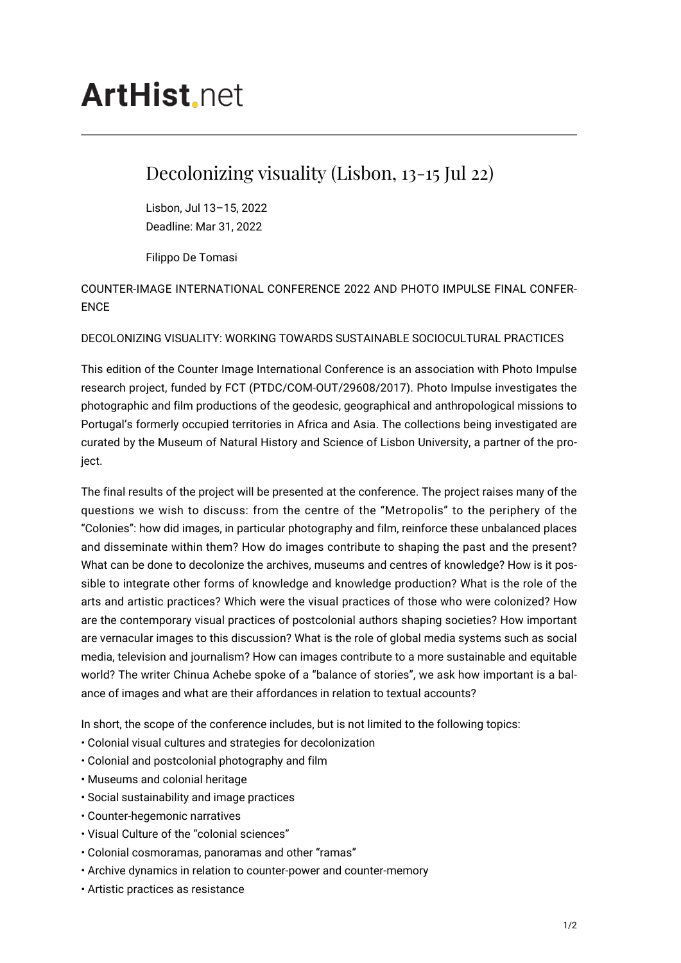# **ArtHist** net

# Decolonizing visuality (Lisbon, 13-15 Jul 22)

Lisbon, Jul 13–15, 2022 Deadline: Mar 31, 2022

Filippo De Tomasi

# COUNTER-IMAGE INTERNATIONAL CONFERENCE 2022 AND PHOTO IMPULSE FINAL CONFER-ENCE

## DECOLONIZING VISUALITY: WORKING TOWARDS SUSTAINABLE SOCIOCULTURAL PRACTICES

This edition of the Counter Image International Conference is an association with Photo Impulse research project, funded by FCT (PTDC/COM-OUT/29608/2017). Photo Impulse investigates the photographic and film productions of the geodesic, geographical and anthropological missions to Portugal's formerly occupied territories in Africa and Asia. The collections being investigated are curated by the Museum of Natural History and Science of Lisbon University, a partner of the project.

The final results of the project will be presented at the conference. The project raises many of the questions we wish to discuss: from the centre of the "Metropolis" to the periphery of the "Colonies": how did images, in particular photography and film, reinforce these unbalanced places and disseminate within them? How do images contribute to shaping the past and the present? What can be done to decolonize the archives, museums and centres of knowledge? How is it possible to integrate other forms of knowledge and knowledge production? What is the role of the arts and artistic practices? Which were the visual practices of those who were colonized? How are the contemporary visual practices of postcolonial authors shaping societies? How important are vernacular images to this discussion? What is the role of global media systems such as social media, television and journalism? How can images contribute to a more sustainable and equitable world? The writer Chinua Achebe spoke of a "balance of stories", we ask how important is a balance of images and what are their affordances in relation to textual accounts?

In short, the scope of the conference includes, but is not limited to the following topics:

- Colonial visual cultures and strategies for decolonization
- Colonial and postcolonial photography and film
- Museums and colonial heritage
- Social sustainability and image practices
- Counter-hegemonic narratives
- Visual Culture of the "colonial sciences"
- Colonial cosmoramas, panoramas and other "ramas"
- Archive dynamics in relation to counter-power and counter-memory
- Artistic practices as resistance